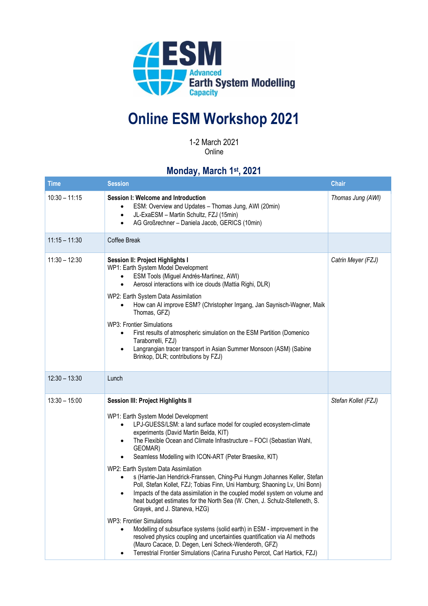

## **Online ESM Workshop 2021**

1-2 March 2021 Online

## **Monday, March 1 st , 2021**

| <b>Time</b>     | <b>Session</b>                                                                                                                                                                                                                                                                                                                                                                                                                                                                                                                                                                                                                                                                                                                                                                                                                                                                                                                                                                                                                                                          | <b>Chair</b>        |
|-----------------|-------------------------------------------------------------------------------------------------------------------------------------------------------------------------------------------------------------------------------------------------------------------------------------------------------------------------------------------------------------------------------------------------------------------------------------------------------------------------------------------------------------------------------------------------------------------------------------------------------------------------------------------------------------------------------------------------------------------------------------------------------------------------------------------------------------------------------------------------------------------------------------------------------------------------------------------------------------------------------------------------------------------------------------------------------------------------|---------------------|
| $10:30 - 11:15$ | Session I: Welcome and Introduction<br>ESM: Overview and Updates - Thomas Jung, AWI (20min)<br>٠<br>JL-ExaESM - Martin Schultz, FZJ (15min)<br>AG Großrechner - Daniela Jacob, GERICS (10min)<br>$\bullet$                                                                                                                                                                                                                                                                                                                                                                                                                                                                                                                                                                                                                                                                                                                                                                                                                                                              | Thomas Jung (AWI)   |
| $11:15 - 11:30$ | Coffee Break                                                                                                                                                                                                                                                                                                                                                                                                                                                                                                                                                                                                                                                                                                                                                                                                                                                                                                                                                                                                                                                            |                     |
| $11:30 - 12:30$ | <b>Session II: Project Highlights I</b><br>WP1: Earth System Model Development<br>ESM Tools (Miguel Andrés-Martinez, AWI)<br>Aerosol interactions with ice clouds (Mattia Righi, DLR)<br>$\bullet$<br>WP2: Earth System Data Assimilation<br>How can AI improve ESM? (Christopher Irrgang, Jan Saynisch-Wagner, Maik<br>Thomas, GFZ)<br><b>WP3: Frontier Simulations</b><br>First results of atmospheric simulation on the ESM Partition (Domenico<br>Taraborrelli, FZJ)<br>Langrangian tracer transport in Asian Summer Monsoon (ASM) (Sabine<br>Brinkop, DLR; contributions by FZJ)                                                                                                                                                                                                                                                                                                                                                                                                                                                                                   | Catrin Meyer (FZJ)  |
| $12:30 - 13:30$ | Lunch                                                                                                                                                                                                                                                                                                                                                                                                                                                                                                                                                                                                                                                                                                                                                                                                                                                                                                                                                                                                                                                                   |                     |
| $13:30 - 15:00$ | Session III: Project Highlights II<br>WP1: Earth System Model Development<br>LPJ-GUESS/LSM: a land surface model for coupled ecosystem-climate<br>experiments (David Martin Belda, KIT)<br>The Flexible Ocean and Climate Infrastructure - FOCI (Sebastian Wahl,<br>GEOMAR)<br>Seamless Modelling with ICON-ART (Peter Braesike, KIT)<br>WP2: Earth System Data Assimilation<br>s (Harrie-Jan Hendrick-Franssen, Ching-Pui Hungm Johannes Keller, Stefan<br>Poll, Stefan Kollet, FZJ; Tobias Finn, Uni Hamburg; Shaoning Lv, Uni Bonn)<br>Impacts of the data assimilation in the coupled model system on volume and<br>heat budget estimates for the North Sea (W. Chen, J. Schulz-Stelleneth, S.<br>Grayek, and J. Staneva, HZG)<br><b>WP3: Frontier Simulations</b><br>Modelling of subsurface systems (solid earth) in ESM - improvement in the<br>resolved physics coupling and uncertainties quantification via AI methods<br>(Mauro Cacace, D. Degen, Leni Scheck-Wenderoth, GFZ)<br>Terrestrial Frontier Simulations (Carina Furusho Percot, Carl Hartick, FZJ) | Stefan Kollet (FZJ) |